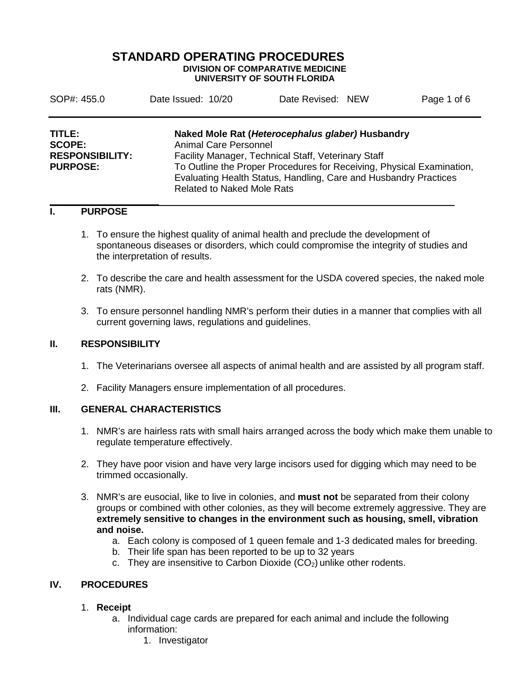## **STANDARD OPERATING PROCEDURES DIVISION OF COMPARATIVE MEDICINE UNIVERSITY OF SOUTH FLORIDA**

| SOP#: 455.0            | Date Issued: 10/20                                                    | Date Revised: NEW |  | Page 1 of 6 |  |
|------------------------|-----------------------------------------------------------------------|-------------------|--|-------------|--|
| TITLE:                 | Naked Mole Rat (Heterocephalus glaber) Husbandry                      |                   |  |             |  |
| <b>SCOPE:</b>          | <b>Animal Care Personnel</b>                                          |                   |  |             |  |
| <b>RESPONSIBILITY:</b> | Facility Manager, Technical Staff, Veterinary Staff                   |                   |  |             |  |
| <b>PURPOSE:</b>        | To Outline the Proper Procedures for Receiving, Physical Examination, |                   |  |             |  |
|                        | Evaluating Health Status, Handling, Care and Husbandry Practices      |                   |  |             |  |
|                        | <b>Related to Naked Mole Rats</b>                                     |                   |  |             |  |

#### **\_\_\_\_\_\_\_\_\_\_\_\_\_\_\_\_\_\_\_\_\_ I. PURPOSE**

- 1. To ensure the highest quality of animal health and preclude the development of spontaneous diseases or disorders, which could compromise the integrity of studies and the interpretation of results.
- 2. To describe the care and health assessment for the USDA covered species, the naked mole rats (NMR).
- 3. To ensure personnel handling NMR's perform their duties in a manner that complies with all current governing laws, regulations and guidelines.

#### **II. RESPONSIBILITY**

- 1. The Veterinarians oversee all aspects of animal health and are assisted by all program staff.
- 2. Facility Managers ensure implementation of all procedures.

## **III. GENERAL CHARACTERISTICS**

- 1. NMR's are hairless rats with small hairs arranged across the body which make them unable to regulate temperature effectively.
- 2. They have poor vision and have very large incisors used for digging which may need to be trimmed occasionally.
- 3. NMR's are eusocial, like to live in colonies, and **must not** be separated from their colony groups or combined with other colonies, as they will become extremely aggressive. They are **extremely sensitive to changes in the environment such as housing, smell, vibration and noise.** 
	- a. Each colony is composed of 1 queen female and 1-3 dedicated males for breeding.
	- b. Their life span has been reported to be up to 32 years
	- c. They are insensitive to Carbon Dioxide  $(CO<sub>2</sub>)$  unlike other rodents.

## **IV. PROCEDURES**

#### 1. **Receipt**

- a. Individual cage cards are prepared for each animal and include the following information:
	- 1. Investigator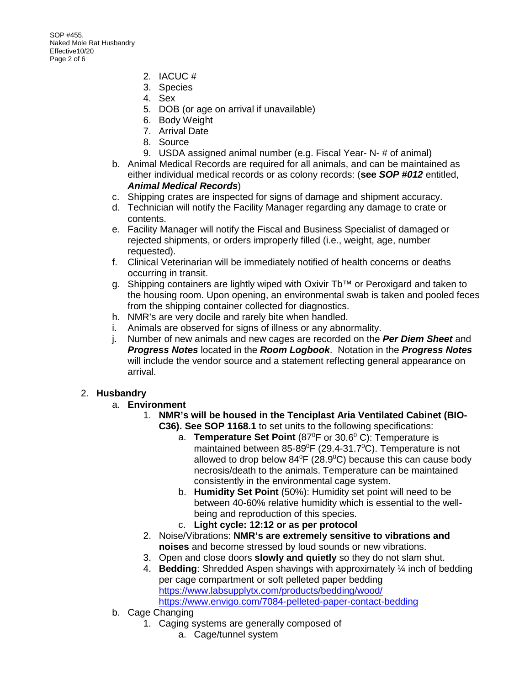SOP #455. Naked Mole Rat Husbandry Effective10/20 Page 2 of 6

- 2. IACUC #
- 3. Species
- 4. Sex
- 5. DOB (or age on arrival if unavailable)
- 6. Body Weight
- 7. Arrival Date
- 8. Source
- 9. USDA assigned animal number (e.g. Fiscal Year- N- # of animal)
- b. Animal Medical Records are required for all animals, and can be maintained as either individual medical records or as colony records: (**see** *SOP #012* entitled, *Animal Medical Records*)
- c. Shipping crates are inspected for signs of damage and shipment accuracy.
- d. Technician will notify the Facility Manager regarding any damage to crate or contents.
- e. Facility Manager will notify the Fiscal and Business Specialist of damaged or rejected shipments, or orders improperly filled (i.e., weight, age, number requested).
- f. Clinical Veterinarian will be immediately notified of health concerns or deaths occurring in transit.
- g. Shipping containers are lightly wiped with Oxivir Tb™ or Peroxigard and taken to the housing room. Upon opening, an environmental swab is taken and pooled feces from the shipping container collected for diagnostics.
- h. NMR's are very docile and rarely bite when handled.
- i. Animals are observed for signs of illness or any abnormality.
- j. Number of new animals and new cages are recorded on the *Per Diem Sheet* and *Progress Notes* located in the *Room Logbook*. Notation in the *Progress Notes* will include the vendor source and a statement reflecting general appearance on arrival.

## 2. **Husbandry**

- a. **Environment**
	- 1. **NMR's will be housed in the Tenciplast Aria Ventilated Cabinet (BIO-C36). See SOP 1168.1** to set units to the following specifications:
		- a. Temperature Set Point (87<sup>0</sup>F or 30.6<sup>0</sup> C): Temperature is maintained between 85-89 $\mathrm{^0F}$  (29.4-31.7 $\mathrm{^0C}$ ). Temperature is not allowed to drop below  $84^{\circ}$ F (28.9 $^{\circ}$ C) because this can cause body necrosis/death to the animals. Temperature can be maintained consistently in the environmental cage system.
		- b. **Humidity Set Point** (50%): Humidity set point will need to be between 40-60% relative humidity which is essential to the wellbeing and reproduction of this species.
		- c. **Light cycle: 12:12 or as per protocol**
	- 2. Noise/Vibrations: **NMR's are extremely sensitive to vibrations and noises** and become stressed by loud sounds or new vibrations.
	- 3. Open and close doors **slowly and quietly** so they do not slam shut.
	- 4. **Bedding**: Shredded Aspen shavings with approximately ¼ inch of bedding per cage compartment or soft pelleted paper bedding <https://www.labsupplytx.com/products/bedding/wood/> <https://www.envigo.com/7084-pelleted-paper-contact-bedding>
- b. Cage Changing
	- 1. Caging systems are generally composed of
		- a. Cage/tunnel system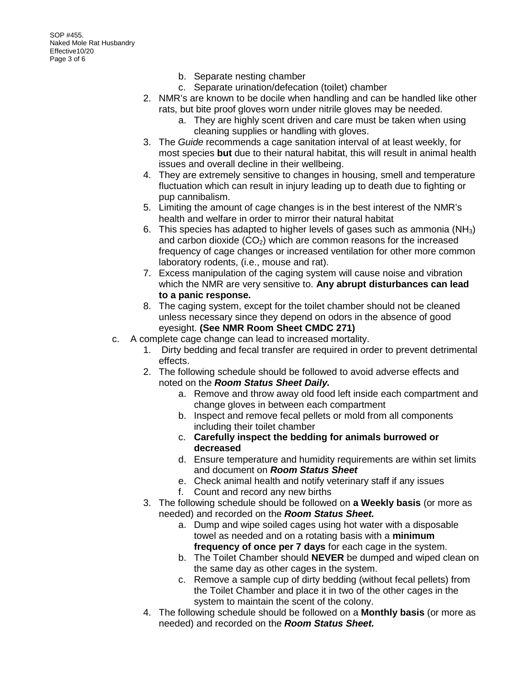- b. Separate nesting chamber
- c. Separate urination/defecation (toilet) chamber
- 2. NMR's are known to be docile when handling and can be handled like other rats, but bite proof gloves worn under nitrile gloves may be needed.
	- a. They are highly scent driven and care must be taken when using cleaning supplies or handling with gloves.
- 3. The *Guide* recommends a cage sanitation interval of at least weekly, for most species **but** due to their natural habitat, this will result in animal health issues and overall decline in their wellbeing.
- 4. They are extremely sensitive to changes in housing, smell and temperature fluctuation which can result in injury leading up to death due to fighting or pup cannibalism.
- 5. Limiting the amount of cage changes is in the best interest of the NMR's health and welfare in order to mirror their natural habitat
- 6. This species has adapted to higher levels of gases such as ammonia (NH3) and carbon dioxide  $(CO<sub>2</sub>)$  which are common reasons for the increased frequency of cage changes or increased ventilation for other more common laboratory rodents, (i.e., mouse and rat).
- 7. Excess manipulation of the caging system will cause noise and vibration which the NMR are very sensitive to. **Any abrupt disturbances can lead to a panic response.**
- 8. The caging system, except for the toilet chamber should not be cleaned unless necessary since they depend on odors in the absence of good eyesight. **(See NMR Room Sheet CMDC 271)**
- c. A complete cage change can lead to increased mortality.
	- 1. Dirty bedding and fecal transfer are required in order to prevent detrimental effects.
	- 2. The following schedule should be followed to avoid adverse effects and noted on the *Room Status Sheet Daily.*
		- a. Remove and throw away old food left inside each compartment and change gloves in between each compartment
		- b. Inspect and remove fecal pellets or mold from all components including their toilet chamber
		- c. **Carefully inspect the bedding for animals burrowed or decreased**
		- d. Ensure temperature and humidity requirements are within set limits and document on *Room Status Sheet*
		- e. Check animal health and notify veterinary staff if any issues
		- f. Count and record any new births
	- 3. The following schedule should be followed on **a Weekly basis** (or more as needed) and recorded on the *Room Status Sheet.*
		- a. Dump and wipe soiled cages using hot water with a disposable towel as needed and on a rotating basis with a **minimum frequency of once per 7 days** for each cage in the system.
		- b. The Toilet Chamber should **NEVER** be dumped and wiped clean on the same day as other cages in the system.
		- c. Remove a sample cup of dirty bedding (without fecal pellets) from the Toilet Chamber and place it in two of the other cages in the system to maintain the scent of the colony.
	- 4. The following schedule should be followed on a **Monthly basis** (or more as needed) and recorded on the *Room Status Sheet.*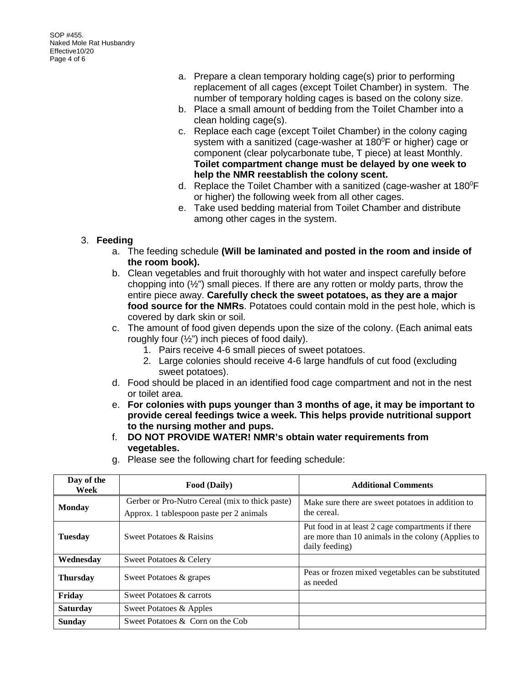SOP #455. Naked Mole Rat Husbandry Effective10/20 Page 4 of 6

- a. Prepare a clean temporary holding cage(s) prior to performing replacement of all cages (except Toilet Chamber) in system. The number of temporary holding cages is based on the colony size.
- b. Place a small amount of bedding from the Toilet Chamber into a clean holding cage(s).
- c. Replace each cage (except Toilet Chamber) in the colony caging system with a sanitized (cage-washer at 180<sup>°</sup>F or higher) cage or component (clear polycarbonate tube, T piece) at least Monthly. **Toilet compartment change must be delayed by one week to help the NMR reestablish the colony scent.**
- d. Replace the Toilet Chamber with a sanitized (cage-washer at 180 $^{\circ}$ F or higher) the following week from all other cages.
- e. Take used bedding material from Toilet Chamber and distribute among other cages in the system.

# 3. **Feeding**

- a. The feeding schedule **(Will be laminated and posted in the room and inside of the room book).**
- b. Clean vegetables and fruit thoroughly with hot water and inspect carefully before chopping into  $(\frac{1}{2})$  small pieces. If there are any rotten or moldy parts, throw the entire piece away. **Carefully check the sweet potatoes, as they are a major food source for the NMRs**. Potatoes could contain mold in the pest hole, which is covered by dark skin or soil.
- c. The amount of food given depends upon the size of the colony. (Each animal eats roughly four (½") inch pieces of food daily).
	- 1. Pairs receive 4-6 small pieces of sweet potatoes.
	- 2. Large colonies should receive 4-6 large handfuls of cut food (excluding sweet potatoes).
- d. Food should be placed in an identified food cage compartment and not in the nest or toilet area.
- e. **For colonies with pups younger than 3 months of age, it may be important to provide cereal feedings twice a week. This helps provide nutritional support to the nursing mother and pups.**
- f. **DO NOT PROVIDE WATER! NMR's obtain water requirements from vegetables.**
- g. Please see the following chart for feeding schedule:

| Day of the<br>Week | Food (Daily)                                                                                | <b>Additional Comments</b>                                                                                                |
|--------------------|---------------------------------------------------------------------------------------------|---------------------------------------------------------------------------------------------------------------------------|
| <b>Monday</b>      | Gerber or Pro-Nutro Cereal (mix to thick paste)<br>Approx. 1 tablespoon paste per 2 animals | Make sure there are sweet potatoes in addition to<br>the cereal.                                                          |
| <b>Tuesday</b>     | Sweet Potatoes & Raisins                                                                    | Put food in at least 2 cage compartments if there<br>are more than 10 animals in the colony (Applies to<br>daily feeding) |
| Wednesday          | Sweet Potatoes & Celery                                                                     |                                                                                                                           |
| <b>Thursday</b>    | Sweet Potatoes & grapes                                                                     | Peas or frozen mixed vegetables can be substituted<br>as needed                                                           |
| Friday             | Sweet Potatoes & carrots                                                                    |                                                                                                                           |
| <b>Saturday</b>    | Sweet Potatoes & Apples                                                                     |                                                                                                                           |
| <b>Sunday</b>      | Sweet Potatoes & Corn on the Cob                                                            |                                                                                                                           |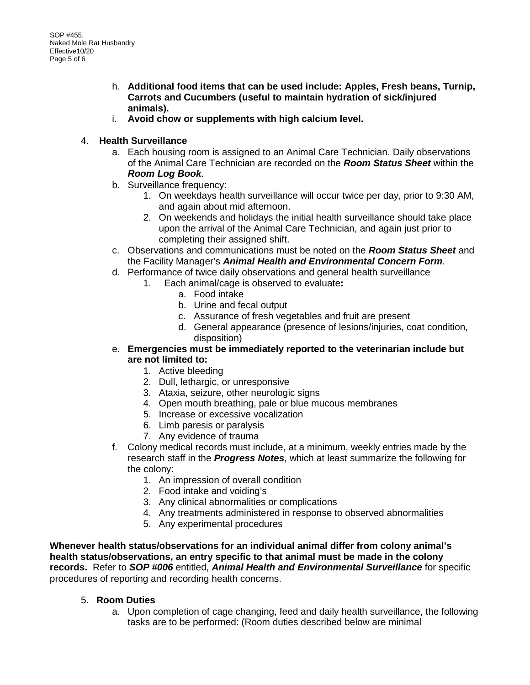- h. **Additional food items that can be used include: Apples, Fresh beans, Turnip, Carrots and Cucumbers (useful to maintain hydration of sick/injured animals).**
- i. **Avoid chow or supplements with high calcium level.**

# 4. **Health Surveillance**

- a. Each housing room is assigned to an Animal Care Technician. Daily observations of the Animal Care Technician are recorded on the *Room Status Sheet* within the *Room Log Book*.
- b. Surveillance frequency:
	- 1. On weekdays health surveillance will occur twice per day, prior to 9:30 AM, and again about mid afternoon.
	- 2. On weekends and holidays the initial health surveillance should take place upon the arrival of the Animal Care Technician, and again just prior to completing their assigned shift.
- c. Observations and communications must be noted on the *Room Status Sheet* and the Facility Manager's *Animal Health and Environmental Concern Form*.
- d. Performance of twice daily observations and general health surveillance
	- 1. Each animal/cage is observed to evaluate**:**
		- a. Food intake
		- b. Urine and fecal output
		- c. Assurance of fresh vegetables and fruit are present
		- d. General appearance (presence of lesions/injuries, coat condition, disposition)
- e. **Emergencies must be immediately reported to the veterinarian include but are not limited to:**
	- 1. Active bleeding
	- 2. Dull, lethargic, or unresponsive
	- 3. Ataxia, seizure, other neurologic signs
	- 4. Open mouth breathing, pale or blue mucous membranes
	- 5. Increase or excessive vocalization
	- 6. Limb paresis or paralysis
	- 7. Any evidence of trauma
- f. Colony medical records must include, at a minimum, weekly entries made by the research staff in the *Progress Notes*, which at least summarize the following for the colony:
	- 1. An impression of overall condition
	- 2. Food intake and voiding's
	- 3. Any clinical abnormalities or complications
	- 4. Any treatments administered in response to observed abnormalities
	- 5. Any experimental procedures

**Whenever health status/observations for an individual animal differ from colony animal's health status/observations, an entry specific to that animal must be made in the colony records.** Refer to *SOP #006* entitled, *Animal Health and Environmental Surveillance* for specific procedures of reporting and recording health concerns.

# 5. **Room Duties**

a. Upon completion of cage changing, feed and daily health surveillance, the following tasks are to be performed: (Room duties described below are minimal